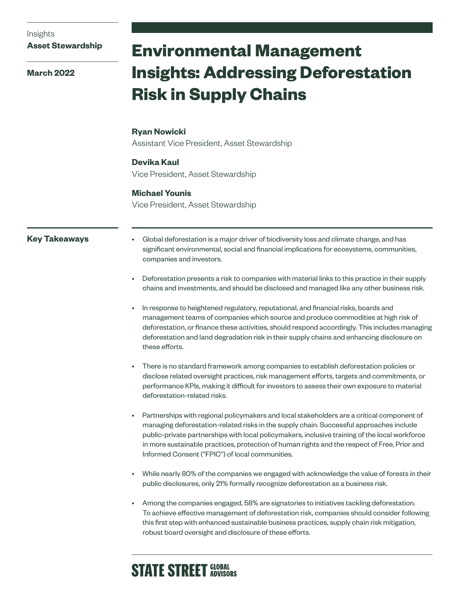Insights

**Asset Stewardship**

**March 2022**

# **Environmental Management Insights: Addressing Deforestation Risk in Supply Chains**

## **Ryan Nowicki**

Assistant Vice President, Asset Stewardship

# **Devika Kaul**

Vice President, Asset Stewardship

# **Michael Younis**

Vice President, Asset Stewardship

# **Key Takeaways**

- Global deforestation is a major driver of biodiversity loss and climate change, and has significant environmental, social and financial implications for ecosystems, communities, companies and investors.
- Deforestation presents a risk to companies with material links to this practice in their supply chains and investments, and should be disclosed and managed like any other business risk.
- In response to heightened regulatory, reputational, and financial risks, boards and management teams of companies which source and produce commodities at high risk of deforestation, or finance these activities, should respond accordingly. This includes managing deforestation and land degradation risk in their supply chains and enhancing disclosure on these efforts.
- There is no standard framework among companies to establish deforestation policies or disclose related oversight practices, risk management efforts, targets and commitments, or performance KPIs, making it difficult for investors to assess their own exposure to material deforestation-related risks.
- Partnerships with regional policymakers and local stakeholders are a critical component of managing deforestation-related risks in the supply chain. Successful approaches include public-private partnerships with local policymakers, inclusive training of the local workforce in more sustainable practices, protection of human rights and the respect of Free, Prior and Informed Consent ("FPIC") of local communities.
- While nearly 80% of the companies we engaged with acknowledge the value of forests in their public disclosures, only 21% formally recognize deforestation as a business risk.
- Among the companies engaged, 58% are signatories to initiatives tackling deforestation. To achieve effective management of deforestation risk, companies should consider following this first step with enhanced sustainable business practices, supply chain risk mitigation, robust board oversight and disclosure of these efforts.

# **STATE STREET GLOBAL**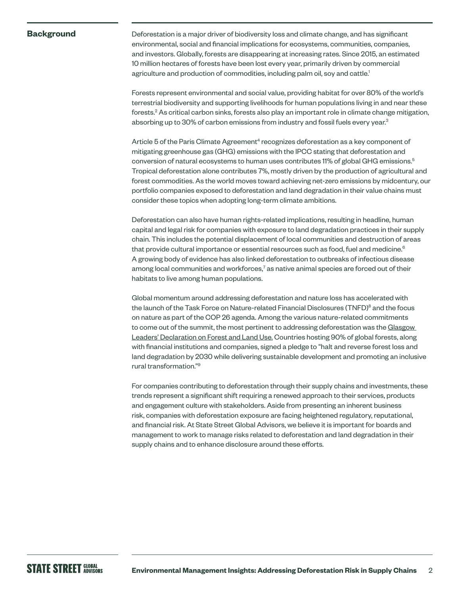#### **Background**

Deforestation is a major driver of biodiversity loss and climate change, and has significant environmental, social and financial implications for ecosystems, communities, companies, and investors. Globally, forests are disappearing at increasing rates. Since 2015, an estimated 10 million hectares of forests have been lost every year, primarily driven by commercial agriculture and production of commodities, including palm oil, soy and cattle.<sup>1</sup>

Forests represent environmental and social value, providing habitat for over 80% of the world's terrestrial biodiversity and supporting livelihoods for human populations living in and near these forests.<sup>2</sup> As critical carbon sinks, forests also play an important role in climate change mitigation, absorbing up to 30% of carbon emissions from industry and fossil fuels every year.<sup>3</sup>

Article 5 of the Paris Climate Agreement<sup>4</sup> recognizes deforestation as a key component of mitigating greenhouse gas (GHG) emissions with the IPCC stating that deforestation and conversion of natural ecosystems to human uses contributes 11% of global GHG emissions.<sup>5</sup> Tropical deforestation alone contributes 7%, mostly driven by the production of agricultural and forest commodities. As the world moves toward achieving net-zero emissions by midcentury, our portfolio companies exposed to deforestation and land degradation in their value chains must consider these topics when adopting long-term climate ambitions.

Deforestation can also have human rights-related implications, resulting in headline, human capital and legal risk for companies with exposure to land degradation practices in their supply chain. This includes the potential displacement of local communities and destruction of areas that provide cultural importance or essential resources such as food, fuel and medicine. $6$ A growing body of evidence has also linked deforestation to outbreaks of infectious disease among local communities and workforces, $^7$  as native animal species are forced out of their habitats to live among human populations.

Global momentum around addressing deforestation and nature loss has accelerated with the launch of the Task Force on Nature-related Financial Disclosures (TNFD)<sup>8</sup> and the focus on nature as part of the COP 26 agenda. Among the various nature-related commitments to come out of the summit, the most pertinent to addressing deforestation was the [Glasgow](https://ukcop26.org/glasgow-leaders-declaration-on-forests-and-land-use/)  [Leaders' Declaration on Forest and Land Use.](https://ukcop26.org/glasgow-leaders-declaration-on-forests-and-land-use/) Countries hosting 90% of global forests, along with financial institutions and companies, signed a pledge to "halt and reverse forest loss and land degradation by 2030 while delivering sustainable development and promoting an inclusive rural transformation."9

For companies contributing to deforestation through their supply chains and investments, these trends represent a significant shift requiring a renewed approach to their services, products and engagement culture with stakeholders. Aside from presenting an inherent business risk, companies with deforestation exposure are facing heightened regulatory, reputational, and financial risk. At State Street Global Advisors, we believe it is important for boards and management to work to manage risks related to deforestation and land degradation in their supply chains and to enhance disclosure around these efforts.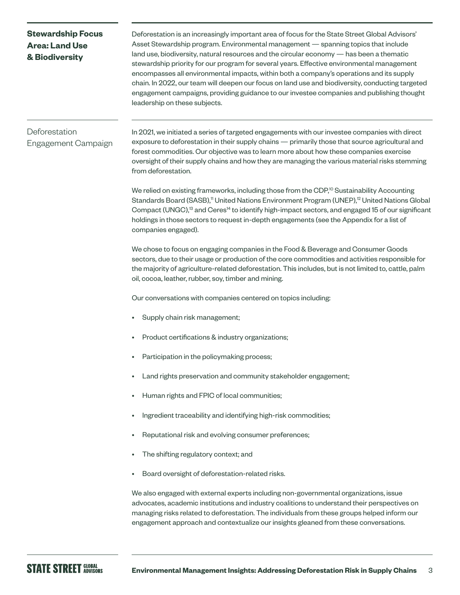# **Stewardship Focus Area: Land Use & Biodiversity**

Deforestation is an increasingly important area of focus for the State Street Global Advisors' Asset Stewardship program. Environmental management — spanning topics that include land use, biodiversity, natural resources and the circular economy — has been a thematic stewardship priority for our program for several years. Effective environmental management encompasses all environmental impacts, within both a company's operations and its supply chain. In 2022, our team will deepen our focus on land use and biodiversity, conducting targeted engagement campaigns, providing guidance to our investee companies and publishing thought leadership on these subjects.

# Deforestation Engagement Campaign

In 2021, we initiated a series of targeted engagements with our investee companies with direct exposure to deforestation in their supply chains — primarily those that source agricultural and forest commodities. Our objective was to learn more about how these companies exercise oversight of their supply chains and how they are managing the various material risks stemming from deforestation.

We relied on existing frameworks, including those from the CDP,<sup>10</sup> Sustainability Accounting Standards Board (SASB),<sup>11</sup> United Nations Environment Program (UNEP),<sup>12</sup> United Nations Global Compact (UNGC),<sup>13</sup> and Ceres<sup>14</sup> to identify high-impact sectors, and engaged 15 of our significant holdings in those sectors to request in-depth engagements (see the Appendix for a list of companies engaged).

We chose to focus on engaging companies in the Food & Beverage and Consumer Goods sectors, due to their usage or production of the core commodities and activities responsible for the majority of agriculture-related deforestation. This includes, but is not limited to, cattle, palm oil, cocoa, leather, rubber, soy, timber and mining.

Our conversations with companies centered on topics including:

- Supply chain risk management;
- Product certifications & industry organizations;
- Participation in the policymaking process;
- Land rights preservation and community stakeholder engagement;
- Human rights and FPIC of local communities;
- Ingredient traceability and identifying high-risk commodities;
- Reputational risk and evolving consumer preferences;
- The shifting regulatory context; and
- Board oversight of deforestation-related risks.

We also engaged with external experts including non-governmental organizations, issue advocates, academic institutions and industry coalitions to understand their perspectives on managing risks related to deforestation. The individuals from these groups helped inform our engagement approach and contextualize our insights gleaned from these conversations.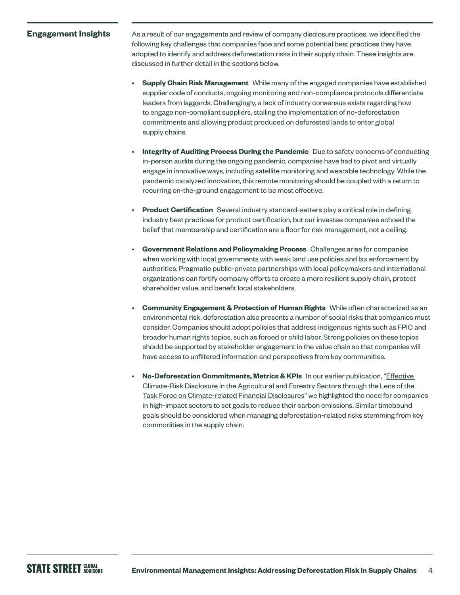#### **Engagement Insights**

As a result of our engagements and review of company disclosure practices, we identified the following key challenges that companies face and some potential best practices they have adopted to identify and address deforestation risks in their supply chain. These insights are discussed in further detail in the sections below.

- **Supply Chain Risk Management** While many of the engaged companies have established supplier code of conducts, ongoing monitoring and non-compliance protocols differentiate leaders from laggards. Challengingly, a lack of industry consensus exists regarding how to engage non-compliant suppliers, stalling the implementation of no-deforestation commitments and allowing product produced on deforested lands to enter global supply chains.
- **Integrity of Auditing Process During the Pandemic** Due to safety concerns of conducting in-person audits during the ongoing pandemic, companies have had to pivot and virtually engage in innovative ways, including satellite monitoring and wearable technology. While the pandemic catalyzed innovation, this remote monitoring should be coupled with a return to recurring on-the-ground engagement to be most effective.
- **Product Certification** Several industry standard-setters play a critical role in defining industry best practices for product certification, but our investee companies echoed the belief that membership and certification are a floor for risk management, not a ceiling.
- **Government Relations and Policymaking Process** Challenges arise for companies when working with local governments with weak land use policies and lax enforcement by authorities. Pragmatic public-private partnerships with local policymakers and international organizations can fortify company efforts to create a more resilient supply chain, protect shareholder value, and benefit local stakeholders.
- **Community Engagement & Protection of Human Rights** While often characterized as an environmental risk, deforestation also presents a number of social risks that companies must consider. Companies should adopt policies that address indigenous rights such as FPIC and broader human rights topics, such as forced or child labor. Strong policies on these topics should be supported by stakeholder engagement in the value chain so that companies will have access to unfiltered information and perspectives from key communities.
- **No-Deforestation Commitments, Metrics & KPIs** In our earlier publication, ["Effective](https://www.ssga.com/library-content/products/esg/climate-risk-disclosure-in-agriculture.pdf)  [Climate-Risk Disclosure in the Agricultural and Forestry Sectors through the Lens of the](https://www.ssga.com/library-content/products/esg/climate-risk-disclosure-in-agriculture.pdf)  [Task Force on Climate-related Financial Disclosures](https://www.ssga.com/library-content/products/esg/climate-risk-disclosure-in-agriculture.pdf)" we highlighted the need for companies in high-impact sectors to set goals to reduce their carbon emissions. Similar timebound goals should be considered when managing deforestation-related risks stemming from key commodities in the supply chain.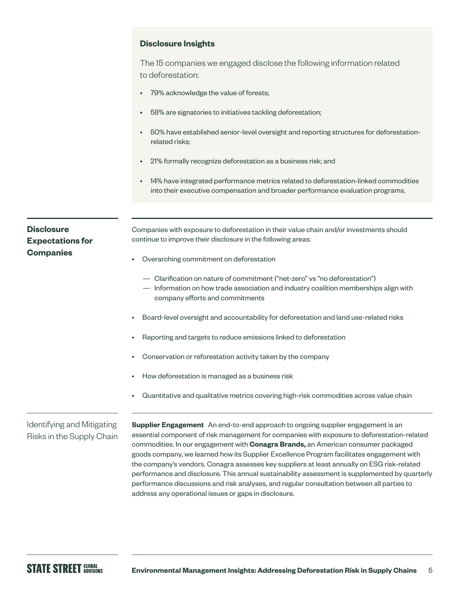## **Disclosure Insights**

The 15 companies we engaged disclose the following information related to deforestation:

- 79% acknowledge the value of forests;
- 58% are signatories to initiatives tackling deforestation;
- 50% have established senior-level oversight and reporting structures for deforestationrelated risks;
- 21% formally recognize deforestation as a business risk; and
- 14% have integrated performance metrics related to deforestation-linked commodities into their executive compensation and broader performance evaluation programs.

# **Disclosure Expectations for Companies**

Companies with exposure to deforestation in their value chain and/or investments should continue to improve their disclosure in the following areas:

- Overarching commitment on deforestation
	- Clarification on nature of commitment ("net-zero" vs "no deforestation")
	- Information on how trade association and industry coalition memberships align with company efforts and commitments
- Board-level oversight and accountability for deforestation and land use-related risks
- Reporting and targets to reduce emissions linked to deforestation
- Conservation or reforestation activity taken by the company
- How deforestation is managed as a business risk
- Quantitative and qualitative metrics covering high-risk commodities across value chain

# Identifying and Mitigating Risks in the Supply Chain

**Supplier Engagement** An end-to-end approach to ongoing supplier engagement is an essential component of risk management for companies with exposure to deforestation-related commodities. In our engagement with **Conagra Brands,** an American consumer packaged goods company, we learned how its Supplier Excellence Program facilitates engagement with the company's vendors. Conagra assesses key suppliers at least annually on ESG risk-related performance and disclosure. This annual sustainability assessment is supplemented by quarterly performance discussions and risk analyses, and regular consultation between all parties to address any operational issues or gaps in disclosure.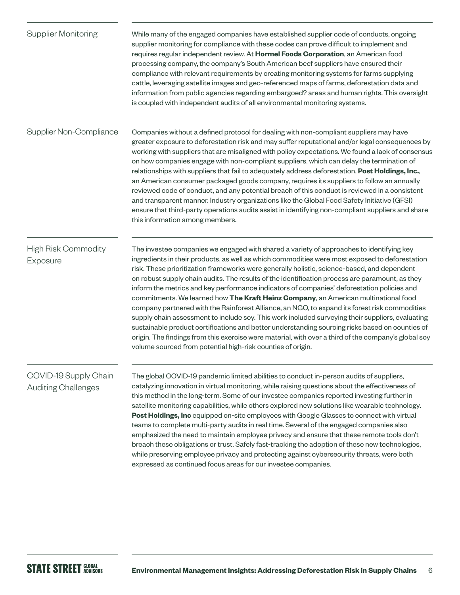| <b>Supplier Monitoring</b>                          | While many of the engaged companies have established supplier code of conducts, ongoing<br>supplier monitoring for compliance with these codes can prove difficult to implement and<br>requires regular independent review. At Hormel Foods Corporation, an American food<br>processing company, the company's South American beef suppliers have ensured their<br>compliance with relevant requirements by creating monitoring systems for farms supplying<br>cattle, leveraging satellite images and geo-referenced maps of farms, deforestation data and<br>information from public agencies regarding embargoed? areas and human rights. This oversight<br>is coupled with independent audits of all environmental monitoring systems.                                                                                                                                                                                                                                                                                                                       |
|-----------------------------------------------------|------------------------------------------------------------------------------------------------------------------------------------------------------------------------------------------------------------------------------------------------------------------------------------------------------------------------------------------------------------------------------------------------------------------------------------------------------------------------------------------------------------------------------------------------------------------------------------------------------------------------------------------------------------------------------------------------------------------------------------------------------------------------------------------------------------------------------------------------------------------------------------------------------------------------------------------------------------------------------------------------------------------------------------------------------------------|
| Supplier Non-Compliance                             | Companies without a defined protocol for dealing with non-compliant suppliers may have<br>greater exposure to deforestation risk and may suffer reputational and/or legal consequences by<br>working with suppliers that are misaligned with policy expectations. We found a lack of consensus<br>on how companies engage with non-compliant suppliers, which can delay the termination of<br>relationships with suppliers that fail to adequately address deforestation. Post Holdings, Inc.,<br>an American consumer packaged goods company, requires its suppliers to follow an annually<br>reviewed code of conduct, and any potential breach of this conduct is reviewed in a consistent<br>and transparent manner. Industry organizations like the Global Food Safety Initiative (GFSI)<br>ensure that third-party operations audits assist in identifying non-compliant suppliers and share<br>this information among members.                                                                                                                            |
| <b>High Risk Commodity</b><br>Exposure              | The investee companies we engaged with shared a variety of approaches to identifying key<br>ingredients in their products, as well as which commodities were most exposed to deforestation<br>risk. These prioritization frameworks were generally holistic, science-based, and dependent<br>on robust supply chain audits. The results of the identification process are paramount, as they<br>inform the metrics and key performance indicators of companies' deforestation policies and<br>commitments. We learned how The Kraft Heinz Company, an American multinational food<br>company partnered with the Rainforest Alliance, an NGO, to expand its forest risk commodities<br>supply chain assessment to include soy. This work included surveying their suppliers, evaluating<br>sustainable product certifications and better understanding sourcing risks based on counties of<br>origin. The findings from this exercise were material, with over a third of the company's global soy<br>volume sourced from potential high-risk counties of origin. |
| COVID-19 Supply Chain<br><b>Auditing Challenges</b> | The global COVID-19 pandemic limited abilities to conduct in-person audits of suppliers,<br>catalyzing innovation in virtual monitoring, while raising questions about the effectiveness of<br>this method in the long-term. Some of our investee companies reported investing further in<br>satellite monitoring capabilities, while others explored new solutions like wearable technology.<br>Post Holdings, Inc equipped on-site employees with Google Glasses to connect with virtual<br>teams to complete multi-party audits in real time. Several of the engaged companies also<br>emphasized the need to maintain employee privacy and ensure that these remote tools don't<br>breach these obligations or trust. Safely fast-tracking the adoption of these new technologies,<br>while preserving employee privacy and protecting against cybersecurity threats, were both<br>expressed as continued focus areas for our investee companies.                                                                                                            |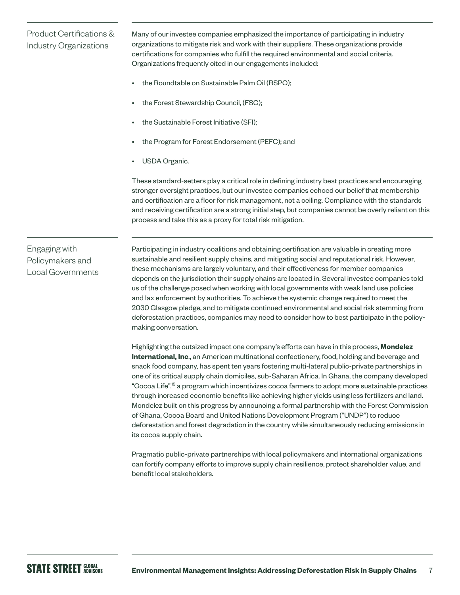# Product Certifications & Industry Organizations

Many of our investee companies emphasized the importance of participating in industry organizations to mitigate risk and work with their suppliers. These organizations provide certifications for companies who fulfill the required environmental and social criteria. Organizations frequently cited in our engagements included:

- the Roundtable on Sustainable Palm Oil (RSPO);
- the Forest Stewardship Council, (FSC);
- the Sustainable Forest Initiative (SFI);
- the Program for Forest Endorsement (PEFC); and
- USDA Organic.

These standard-setters play a critical role in defining industry best practices and encouraging stronger oversight practices, but our investee companies echoed our belief that membership and certification are a floor for risk management, not a ceiling. Compliance with the standards and receiving certification are a strong initial step, but companies cannot be overly reliant on this process and take this as a proxy for total risk mitigation.

# Engaging with Policymakers and Local Governments

Participating in industry coalitions and obtaining certification are valuable in creating more sustainable and resilient supply chains, and mitigating social and reputational risk. However, these mechanisms are largely voluntary, and their effectiveness for member companies depends on the jurisdiction their supply chains are located in. Several investee companies told us of the challenge posed when working with local governments with weak land use policies and lax enforcement by authorities. To achieve the systemic change required to meet the 2030 Glasgow pledge, and to mitigate continued environmental and social risk stemming from deforestation practices, companies may need to consider how to best participate in the policymaking conversation.

Highlighting the outsized impact one company's efforts can have in this process, **Mondelez International, Inc**., an American multinational confectionery, food, holding and beverage and snack food company, has spent ten years fostering multi-lateral public-private partnerships in one of its critical supply chain domiciles, sub-Saharan Africa. In Ghana, the company developed "Cocoa Life",<sup>15</sup> a program which incentivizes cocoa farmers to adopt more sustainable practices through increased economic benefits like achieving higher yields using less fertilizers and land. Mondelez built on this progress by announcing a formal partnership with the Forest Commission of Ghana, Cocoa Board and United Nations Development Program ("UNDP") to reduce deforestation and forest degradation in the country while simultaneously reducing emissions in its cocoa supply chain.

Pragmatic public-private partnerships with local policymakers and international organizations can fortify company efforts to improve supply chain resilience, protect shareholder value, and benefit local stakeholders.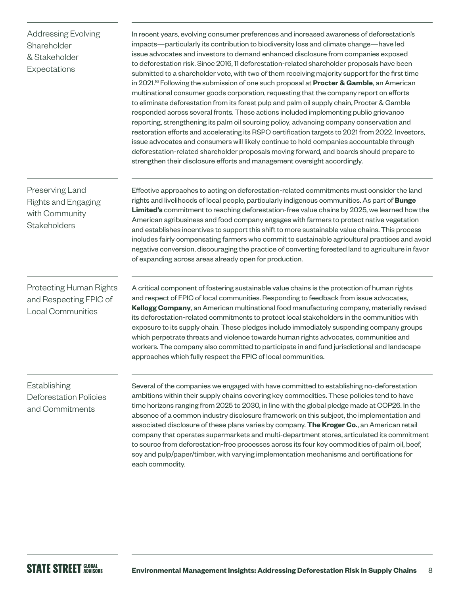Addressing Evolving Shareholder & Stakeholder Expectations

In recent years, evolving consumer preferences and increased awareness of deforestation's impacts—particularly its contribution to biodiversity loss and climate change—have led issue advocates and investors to demand enhanced disclosure from companies exposed to deforestation risk. Since 2016, 11 deforestation-related shareholder proposals have been submitted to a shareholder vote, with two of them receiving majority support for the first time in 2021.16 Following the submission of one such proposal at **Procter & Gamble**, an American multinational consumer goods corporation, requesting that the company report on efforts to eliminate deforestation from its forest pulp and palm oil supply chain, Procter & Gamble responded across several fronts. These actions included implementing public grievance reporting, strengthening its palm oil sourcing policy, advancing company conservation and restoration efforts and accelerating its RSPO certification targets to 2021 from 2022. Investors, issue advocates and consumers will likely continue to hold companies accountable through deforestation-related shareholder proposals moving forward, and boards should prepare to strengthen their disclosure efforts and management oversight accordingly.

Preserving Land Rights and Engaging with Community **Stakeholders** 

Effective approaches to acting on deforestation-related commitments must consider the land rights and livelihoods of local people, particularly indigenous communities. As part of **Bunge Limited's** commitment to reaching deforestation-free value chains by 2025, we learned how the American agribusiness and food company engages with farmers to protect native vegetation and establishes incentives to support this shift to more sustainable value chains. This process includes fairly compensating farmers who commit to sustainable agricultural practices and avoid negative conversion, discouraging the practice of converting forested land to agriculture in favor of expanding across areas already open for production.

Protecting Human Rights and Respecting FPIC of Local Communities

A critical component of fostering sustainable value chains is the protection of human rights and respect of FPIC of local communities. Responding to feedback from issue advocates, **Kellogg Company**, an American multinational food manufacturing company, materially revised its deforestation-related commitments to protect local stakeholders in the communities with exposure to its supply chain. These pledges include immediately suspending company groups which perpetrate threats and violence towards human rights advocates, communities and workers. The company also committed to participate in and fund jurisdictional and landscape approaches which fully respect the FPIC of local communities.

Establishing Deforestation Policies and Commitments

Several of the companies we engaged with have committed to establishing no-deforestation ambitions within their supply chains covering key commodities. These policies tend to have time horizons ranging from 2025 to 2030, in line with the global pledge made at COP26. In the absence of a common industry disclosure framework on this subject, the implementation and associated disclosure of these plans varies by company. **The Kroger Co.**, an American retail company that operates supermarkets and multi-department stores, articulated its commitment to source from deforestation-free processes across its four key commodities of palm oil, beef, soy and pulp/paper/timber, with varying implementation mechanisms and certifications for each commodity.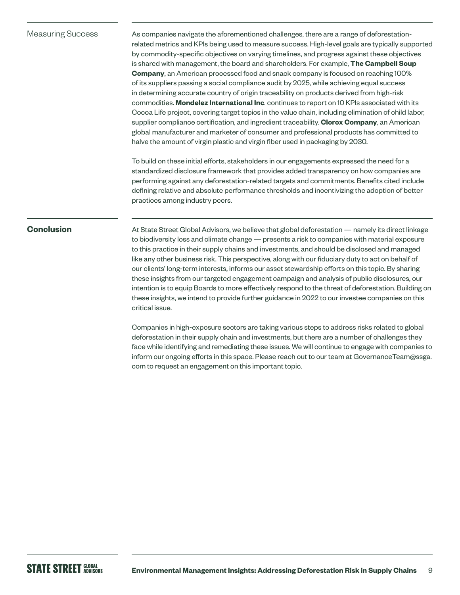## Measuring Success

As companies navigate the aforementioned challenges, there are a range of deforestationrelated metrics and KPIs being used to measure success. High-level goals are typically supported by commodity-specific objectives on varying timelines, and progress against these objectives is shared with management, the board and shareholders. For example, **The Campbell Soup Company**, an American processed food and snack company is focused on reaching 100% of its suppliers passing a social compliance audit by 2025, while achieving equal success in determining accurate country of origin traceability on products derived from high-risk commodities. **Mondelez International Inc**. continues to report on 10 KPIs associated with its Cocoa Life project, covering target topics in the value chain, including elimination of child labor, supplier compliance certification, and ingredient traceability. **Clorox Company**, an American global manufacturer and marketer of consumer and professional products has committed to halve the amount of virgin plastic and virgin fiber used in packaging by 2030.

To build on these initial efforts, stakeholders in our engagements expressed the need for a standardized disclosure framework that provides added transparency on how companies are performing against any deforestation-related targets and commitments. Benefits cited include defining relative and absolute performance thresholds and incentivizing the adoption of better practices among industry peers.

# **Conclusion**

At State Street Global Advisors, we believe that global deforestation — namely its direct linkage to biodiversity loss and climate change — presents a risk to companies with material exposure to this practice in their supply chains and investments, and should be disclosed and managed like any other business risk. This perspective, along with our fiduciary duty to act on behalf of our clients' long-term interests, informs our asset stewardship efforts on this topic. By sharing these insights from our targeted engagement campaign and analysis of public disclosures, our intention is to equip Boards to more effectively respond to the threat of deforestation. Building on these insights, we intend to provide further guidance in 2022 to our investee companies on this critical issue.

Companies in high-exposure sectors are taking various steps to address risks related to global deforestation in their supply chain and investments, but there are a number of challenges they face while identifying and remediating these issues. We will continue to engage with companies to inform our ongoing efforts in this space. Please reach out to our team at GovernanceTeam@ssga. com to request an engagement on this important topic.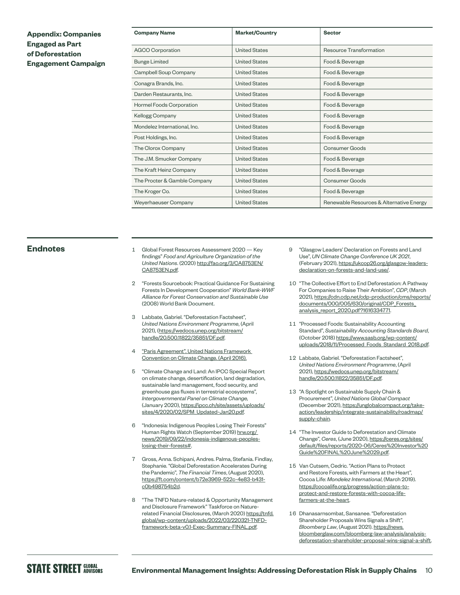## **Appendix: Companies Engaged as Part of Deforestation Engagement Campaign**

| <b>Company Name</b>             | <b>Market/Country</b> | <b>Sector</b>                            |
|---------------------------------|-----------------------|------------------------------------------|
| <b>AGCO Corporation</b>         | <b>United States</b>  | Resource Transformation                  |
| <b>Bunge Limited</b>            | <b>United States</b>  | Food & Beverage                          |
| Campbell Soup Company           | <b>United States</b>  | Food & Beverage                          |
| Conagra Brands, Inc.            | <b>United States</b>  | Food & Beverage                          |
| Darden Restaurants, Inc.        | <b>United States</b>  | Food & Beverage                          |
| <b>Hormel Foods Corporation</b> | <b>United States</b>  | Food & Beverage                          |
| Kellogg Company                 | <b>United States</b>  | Food & Beverage                          |
| Mondelez International, Inc.    | <b>United States</b>  | Food & Beverage                          |
| Post Holdings, Inc.             | <b>United States</b>  | Food & Beverage                          |
| The Clorox Company              | <b>United States</b>  | Consumer Goods                           |
| The J.M. Smucker Company        | <b>United States</b>  | Food & Beverage                          |
| The Kraft Heinz Company         | <b>United States</b>  | Food & Beverage                          |
| The Procter & Gamble Company    | <b>United States</b>  | <b>Consumer Goods</b>                    |
| The Kroger Co.                  | <b>United States</b>  | Food & Beverage                          |
| Weyerhaeuser Company            | <b>United States</b>  | Renewable Resources & Alternative Energy |

- **Endnotes** 1 Global Forest Resources Assessment 2020 Key findings" *Food and Agriculture Organization of the United Nations*. (2020) [http://fao.org/3/CA8753EN/](http://www.fao.org/3/CA8753EN/CA8753EN.pdf) [CA8753EN.pdf.](http://www.fao.org/3/CA8753EN/CA8753EN.pdf)
	- 2 "Forests Sourcebook: Practical Guidance For Sustaining Forests In Development Cooperation" *World Bank-WWF Alliance for Forest Conservation and Sustainable Use* (2008) World Bank Document.
	- Labbate, Gabriel. "Deforestation Factsheet", *United Nations Environment Programme*, (April 2021), ([https://wedocs.unep.org/bitstream/](https://wedocs.unep.org/bitstream/handle/20.500.11822/35851/DF.pdf) [handle/20.500.11822/35851/DF.pdf.](https://wedocs.unep.org/bitstream/handle/20.500.11822/35851/DF.pdf)
	- "Paris Agreement". United Nations Framework [Convention on Climate Change. \(April 2016\).](https://unfccc.int/sites/default/files/english_paris_agreement.pdf)
	- 5 "Climate Change and Land: An IPCC Special Report on climate change, desertification, land degradation, sustainable land management, food security, and greenhouse gas fluxes in terrestrial ecosystems", *Intergovernmental Panel on Climate Change,* (January 2020), [https://ipcc.ch/site/assets/uploads/](https://www.ipcc.ch/site/assets/uploads/sites/4/2020/02/SPM_Updated-Jan20.pdf) [sites/4/2020/02/SPM\\_Updated-Jan20.pdf.](https://www.ipcc.ch/site/assets/uploads/sites/4/2020/02/SPM_Updated-Jan20.pdf)
	- 6 "Indonesia: Indigenous Peoples Losing Their Forests" Human Rights Watch (September 2019) hrw.org/ [news/2019/09/22/indonesia-indigenous-peoples](http://www.hrw.org/ news/2019/09/22/indonesia-indigenous-peoples-losing-their-forests#)[losing-their-forests#](http://www.hrw.org/ news/2019/09/22/indonesia-indigenous-peoples-losing-their-forests#).
	- 7 Gross, Anna. Schipani, Andres. Palma, Stefania. Findlay, Stephanie. "Global Deforestation Accelerates During the Pandemic", *The Financial Times*, (August 2020), [https://ft.com/content/b72e3969-522c-4e83-b431](https://www.ft.com/content/b72e3969-522c-4e83-b431-c0b498754b2d) [c0b498754b2d](https://www.ft.com/content/b72e3969-522c-4e83-b431-c0b498754b2d).
	- 8 "The TNFD Nature-related & Opportunity Management and Disclosure Framework" Taskforce on Naturerelated Financial Disclosures, (March 2020) [https://tnfd.](https://tnfd.global/wp-content/uploads/2022/03/220321-TNFD-framework-beta-v0.1-Exec-Summary-FINAL.pdf) [global/wp-content/uploads/2022/03/220321-TNFD](https://tnfd.global/wp-content/uploads/2022/03/220321-TNFD-framework-beta-v0.1-Exec-Summary-FINAL.pdf)[framework-beta-v0.1-Exec-Summary-FINAL.pdf](https://tnfd.global/wp-content/uploads/2022/03/220321-TNFD-framework-beta-v0.1-Exec-Summary-FINAL.pdf).
- 9 "Glasgow Leaders' Declaration on Forests and Land Use", *UN Climate Change Conference UK 2021*, (February 2021), [https://ukcop26.org/glasgow-leaders](https://ukcop26.org/glasgow-leaders-declaration-on-forests-and-land-use/)[declaration-on-forests-and-land-use/.](https://ukcop26.org/glasgow-leaders-declaration-on-forests-and-land-use/)
- 10 "The Collective Effort to End Deforestation: A Pathway For Companies to Raise Their Ambition", *CDP*, (March 2021), [https://cdn.cdp.net/cdp-production/cms/reports/](https://cdn.cdp.net/cdp-production/cms/reports/documents/000/005/630/original/CDP_Forests_analysis_report_2020.pdf?1616334771) [documents/000/005/630/original/CDP\\_Forests\\_](https://cdn.cdp.net/cdp-production/cms/reports/documents/000/005/630/original/CDP_Forests_analysis_report_2020.pdf?1616334771) [analysis\\_report\\_2020.pdf?1616334771.](https://cdn.cdp.net/cdp-production/cms/reports/documents/000/005/630/original/CDP_Forests_analysis_report_2020.pdf?1616334771)
- 11 "Processed Foods: Sustainability Accounting Standard", *Sustainability Accounting Standards Board*, (October 2018) [https://www.sasb.org/wp-content/](https://www.sasb.org/wp-content/uploads/2018/11/Processed_Foods_Standard_2018.pdf) [uploads/2018/11/Processed\\_Foods\\_Standard\\_2018.pdf](https://www.sasb.org/wp-content/uploads/2018/11/Processed_Foods_Standard_2018.pdf).
- 12 Labbate, Gabriel. "Deforestation Factsheet", *United Nations Environment Programme*, (April 2021), [https://wedocs.unep.org/bitstream/](https://wedocs.unep.org/bitstream/handle/20.500.11822/35851/DF.pdf) [handle/20.500.11822/35851/DF.pdf.](https://wedocs.unep.org/bitstream/handle/20.500.11822/35851/DF.pdf)
- 13 "A Spotlight on Sustainable Supply Chain & Procurement", *United Nations Global Compact* (December 2021), [https://unglobalcompact.org/take](https://www.unglobalcompact.org/take-action/leadership/integrate-sustainability/roadmap/supply-chain)[action/leadership/integrate-sustainability/roadmap/](https://www.unglobalcompact.org/take-action/leadership/integrate-sustainability/roadmap/supply-chain) [supply-chain](https://www.unglobalcompact.org/take-action/leadership/integrate-sustainability/roadmap/supply-chain).
- 14 "The Investor Guide to Deforestation and Climate Change", *Ceres*, (June 2020), [https://ceres.org/sites/](https://www.ceres.org/sites/default/files/reports/2020-06/Ceres%20Investor%20Guide%20FINAL%20June%2029.pdf) [default/files/reports/2020-06/Ceres%20Investor%20](https://www.ceres.org/sites/default/files/reports/2020-06/Ceres%20Investor%20Guide%20FINAL%20June%2029.pdf) [Guide%20FINAL%20June%2029.pdf](https://www.ceres.org/sites/default/files/reports/2020-06/Ceres%20Investor%20Guide%20FINAL%20June%2029.pdf).
- 15 Van Cutsem, Cedric. "Action Plans to Protect and Restore Forests, with Farmers at the Heart", Cocoa Life: *Mondelez International*, (March 2019). [https://cocoalife.org/progress/action-plans-to](https://www.cocoalife.org/progress/action-plans-to-protect-and-restore-forests-with-cocoa-life-farmers-at-the-heart)[protect-and-restore-forests-with-cocoa-life](https://www.cocoalife.org/progress/action-plans-to-protect-and-restore-forests-with-cocoa-life-farmers-at-the-heart)[farmers-at-the-heart](https://www.cocoalife.org/progress/action-plans-to-protect-and-restore-forests-with-cocoa-life-farmers-at-the-heart).
- 16 Dhanasarnsombat, Sansanee. "Deforestation Shareholder Proposals Wins Signals a Shift", *Bloomberg Law*, (August 2021). [https://news.](https://news.bloomberglaw.com/bloomberg-law-analysis/analysis-deforestation-shareholder-proposal-wins-signal-a-shift) [bloomberglaw.com/bloomberg-law-analysis/analysis](https://news.bloomberglaw.com/bloomberg-law-analysis/analysis-deforestation-shareholder-proposal-wins-signal-a-shift)[deforestation-shareholder-proposal-wins-signal-a-shift.](https://news.bloomberglaw.com/bloomberg-law-analysis/analysis-deforestation-shareholder-proposal-wins-signal-a-shift)